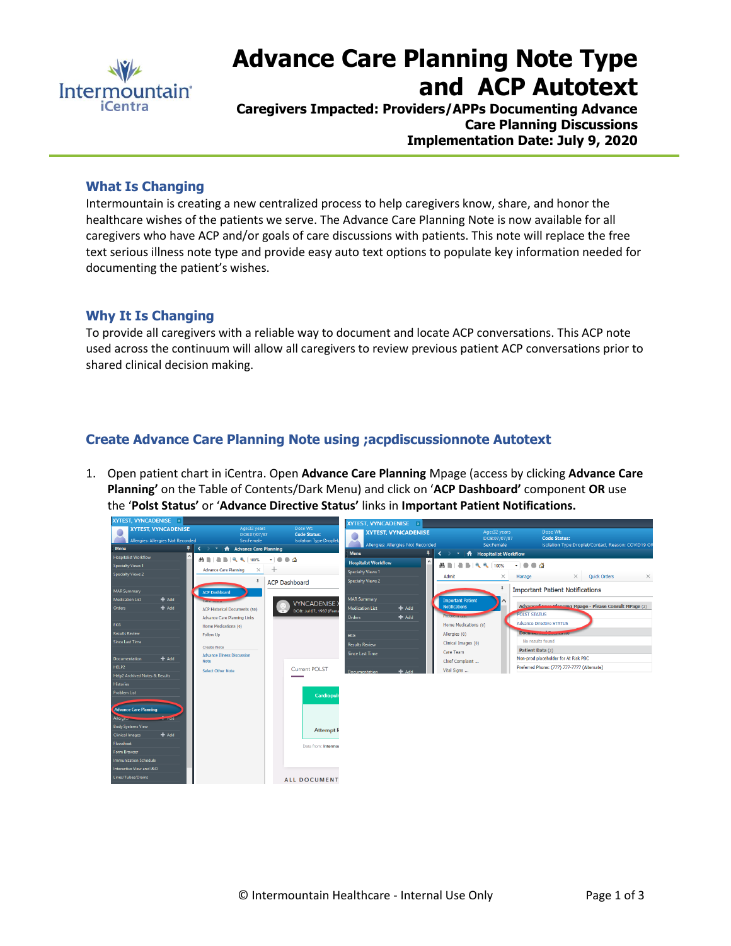

# **Advance Care Planning Note Type and ACP Autotext**

**Caregivers Impacted: Providers/APPs Documenting Advance Care Planning Discussions Implementation Date: July 9, 2020**

### **What Is Changing**

Intermountain is creating a new centralized process to help caregivers know, share, and honor the healthcare wishes of the patients we serve. The Advance Care Planning Note is now available for all caregivers who have ACP and/or goals of care discussions with patients. This note will replace the free text serious illness note type and provide easy auto text options to populate key information needed for documenting the patient's wishes.

#### **Why It Is Changing**

To provide all caregivers with a reliable way to document and locate ACP conversations. This ACP note used across the continuum will allow all caregivers to review previous patient ACP conversations prior to shared clinical decision making.

## **Create Advance Care Planning Note using ;acpdiscussionnote Autotext**

1. Open patient chart in iCentra. Open **Advance Care Planning** Mpage (access by clicking **Advance Care Planning'** on the Table of Contents/Dark Menu) and click on '**ACP Dashboard'** component **OR** use the '**Polst Status'** or '**Advance Directive Status'** links in **Important Patient Notifications.** 

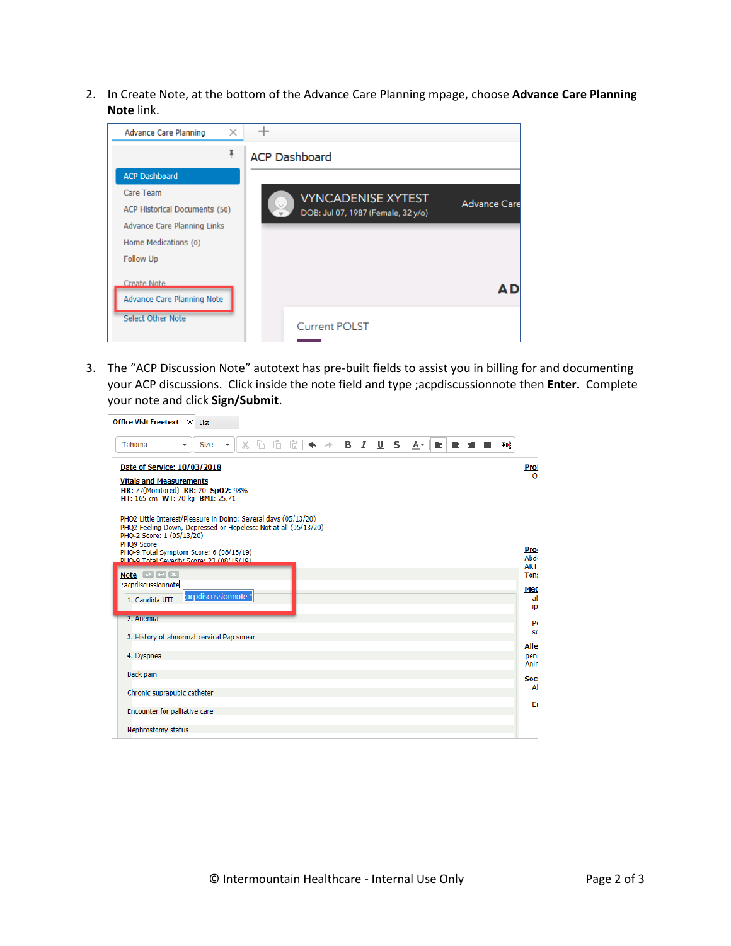2. In Create Note, at the bottom of the Advance Care Planning mpage, choose **Advance Care Planning Note** link.

| <b>ACP Dashboard</b>                                      |
|-----------------------------------------------------------|
|                                                           |
| <b>VYNCADENISE XYTEST</b>                                 |
| <b>Advance Care</b><br>DOB: Jul 07, 1987 (Female, 32 y/o) |
|                                                           |
|                                                           |
|                                                           |
|                                                           |
|                                                           |
|                                                           |
| <b>Current POLST</b>                                      |
|                                                           |

3. The "ACP Discussion Note" autotext has pre-built fields to assist you in billing for and documenting your ACP discussions. Click inside the note field and type ;acpdiscussionnote then **Enter.** Complete your note and click **Sign/Submit**.

| <b>Office Visit Freetext X List</b>                                                                                                                             |                                    |
|-----------------------------------------------------------------------------------------------------------------------------------------------------------------|------------------------------------|
| $X \cap \mathbb{R}$ $\mathbb{R} \mid A \rightarrow  B \mid I \mid U \mid S $<br>唾<br>$A - E = \pm E$<br><b>Size</b><br>Tahoma<br>$\cdot$<br>٠                   |                                    |
| Date of Service: 10/03/2018                                                                                                                                     | Prol                               |
| <b>Vitals and Measurements</b><br>HR: 77(Monitored) RR: 20 SpO2: 98%<br>HT: 165 cm WT: 70 kg BMI: 25.71                                                         | $\overline{O}$                     |
| PHQ2 Little Interest/Pleasure in Doing: Several days (05/13/20)<br>PHQ2 Feeling Down, Depressed or Hopeless: Not at all (05/13/20)<br>PHO-2 Score: 1 (05/13/20) |                                    |
| PHO9 Score<br>PHQ-9 Total Symptom Score: 6 (08/15/19)<br>DHO-0 Total Severity Score: 23 (08/15/10)                                                              | <b>Prod</b><br>Abdo<br><b>ARTI</b> |
| Note $\mathbb{R}$ $\blacksquare$ $\mathbb{R}$                                                                                                                   | <b>Tons</b>                        |
| ;acpdiscussionnote<br>;acpdiscussionnote *<br>1. Candida UTI                                                                                                    | Med<br>all<br>iDI                  |
| 2. Anemia                                                                                                                                                       | $P\epsilon$                        |
| 3. History of abnormal cervical Pap smear                                                                                                                       | S0                                 |
| 4. Dyspnea                                                                                                                                                      | Alle<br>peni<br>Anin               |
| Back pain                                                                                                                                                       | Soci                               |
| Chronic suprapubic catheter                                                                                                                                     | Al                                 |
| Encounter for palliative care                                                                                                                                   | Er                                 |
| Nephrostomy status                                                                                                                                              |                                    |